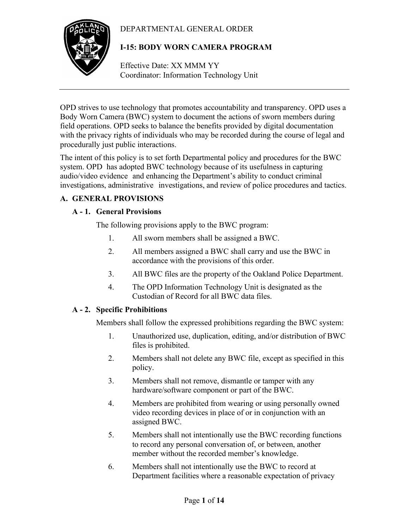# DEPARTMENTAL GENERAL ORDER



# **I-15: BODY WORN CAMERA PROGRAM**

Effective Date: XX MMM YY Coordinator: Information Technology Unit

OPD strives to use technology that promotes accountability and transparency. OPD uses a Body Worn Camera (BWC) system to document the actions of sworn members during field operations. OPD seeks to balance the benefits provided by digital documentation with the privacy rights of individuals who may be recorded during the course of legal and procedurally just public interactions.

The intent of this policy is to set forth Departmental policy and procedures for the BWC system. OPD has adopted BWC technology because of its usefulness in capturing audio/video evidence and enhancing the Department's ability to conduct criminal investigations, administrative investigations, and review of police procedures and tactics.

# **A. GENERAL PROVISIONS**

# **A - 1. General Provisions**

The following provisions apply to the BWC program:

- 1. All sworn members shall be assigned a BWC.
- 2. All members assigned a BWC shall carry and use the BWC in accordance with the provisions of this order.
- 3. All BWC files are the property of the Oakland Police Department.
- 4. The OPD Information Technology Unit is designated as the Custodian of Record for all BWC data files.

# **A - 2. Specific Prohibitions**

Members shall follow the expressed prohibitions regarding the BWC system:

- 1. Unauthorized use, duplication, editing, and/or distribution of BWC files is prohibited.
- 2. Members shall not delete any BWC file, except as specified in this policy.
- 3. Members shall not remove, dismantle or tamper with any hardware/software component or part of the BWC.
- 4. Members are prohibited from wearing or using personally owned video recording devices in place of or in conjunction with an assigned BWC.
- 5. Members shall not intentionally use the BWC recording functions to record any personal conversation of, or between, another member without the recorded member's knowledge.
- 6. Members shall not intentionally use the BWC to record at Department facilities where a reasonable expectation of privacy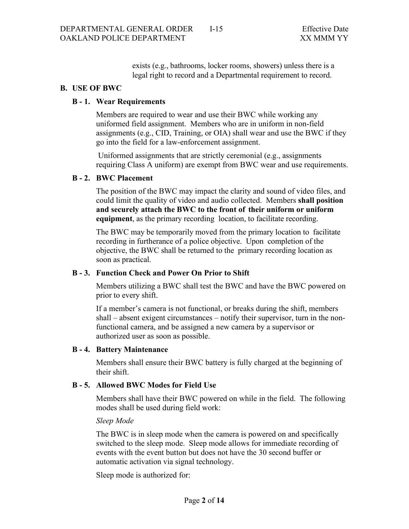exists (e.g., bathrooms, locker rooms, showers) unless there is a legal right to record and a Departmental requirement to record.

## **B. USE OF BWC**

## **B - 1. Wear Requirements**

Members are required to wear and use their BWC while working any uniformed field assignment. Members who are in uniform in non-field assignments (e.g., CID, Training, or OIA) shall wear and use the BWC if they go into the field for a law-enforcement assignment.

Uniformed assignments that are strictly ceremonial (e.g., assignments requiring Class A uniform) are exempt from BWC wear and use requirements.

## **B - 2. BWC Placement**

The position of the BWC may impact the clarity and sound of video files, and could limit the quality of video and audio collected. Members **shall position and securely attach the BWC to the front of their uniform or uniform equipment**, as the primary recording location, to facilitate recording.

The BWC may be temporarily moved from the primary location to facilitate recording in furtherance of a police objective. Upon completion of the objective, the BWC shall be returned to the primary recording location as soon as practical.

## **B - 3. Function Check and Power On Prior to Shift**

Members utilizing a BWC shall test the BWC and have the BWC powered on prior to every shift.

If a member's camera is not functional, or breaks during the shift, members shall – absent exigent circumstances – notify their supervisor, turn in the nonfunctional camera, and be assigned a new camera by a supervisor or authorized user as soon as possible.

## **B - 4. Battery Maintenance**

Members shall ensure their BWC battery is fully charged at the beginning of their shift.

## **B - 5. Allowed BWC Modes for Field Use**

Members shall have their BWC powered on while in the field. The following modes shall be used during field work:

*Sleep Mode*

The BWC is in sleep mode when the camera is powered on and specifically switched to the sleep mode. Sleep mode allows for immediate recording of events with the event button but does not have the 30 second buffer or automatic activation via signal technology.

Sleep mode is authorized for: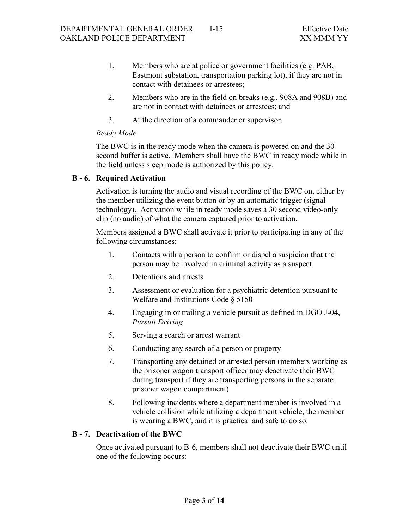- 1. Members who are at police or government facilities (e.g. PAB, Eastmont substation, transportation parking lot), if they are not in contact with detainees or arrestees;
- 2. Members who are in the field on breaks (e.g., 908A and 908B) and are not in contact with detainees or arrestees; and
- 3. At the direction of a commander or supervisor.

## *Ready Mode*

The BWC is in the ready mode when the camera is powered on and the 30 second buffer is active. Members shall have the BWC in ready mode while in the field unless sleep mode is authorized by this policy.

## **B - 6. Required Activation**

Activation is turning the audio and visual recording of the BWC on, either by the member utilizing the event button or by an automatic trigger (signal technology). Activation while in ready mode saves a 30 second video-only clip (no audio) of what the camera captured prior to activation.

Members assigned a BWC shall activate it prior to participating in any of the following circumstances:

- 1. Contacts with a person to confirm or dispel a suspicion that the person may be involved in criminal activity as a suspect
- 2. Detentions and arrests
- 3. Assessment or evaluation for a psychiatric detention pursuant to Welfare and Institutions Code § 5150
- 4. Engaging in or trailing a vehicle pursuit as defined in DGO J-04, *Pursuit Driving*
- 5. Serving a search or arrest warrant
- 6. Conducting any search of a person or property
- 7. Transporting any detained or arrested person (members working as the prisoner wagon transport officer may deactivate their BWC during transport if they are transporting persons in the separate prisoner wagon compartment)
- 8. Following incidents where a department member is involved in a vehicle collision while utilizing a department vehicle, the member is wearing a BWC, and it is practical and safe to do so.

# **B - 7. Deactivation of the BWC**

Once activated pursuant to B-6, members shall not deactivate their BWC until one of the following occurs: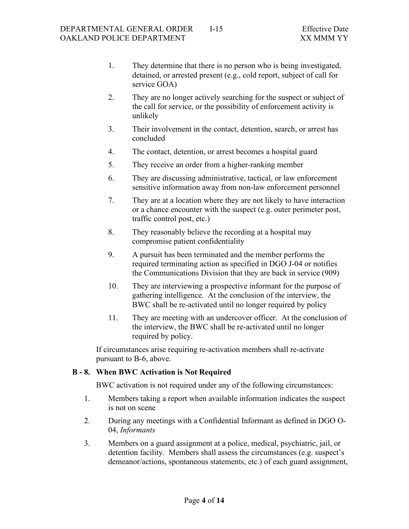- 1. They determine that there is no person who is being investigated, detained, or arrested present (e.g., cold report, subject of call for service GOA)
- 2. They are no longer actively searching for the suspect or subject of the call for service, or the possibility of enforcement activity is unlikely
- 3. Their involvement in the contact, detention, search, or arrest has concluded
- 4. The contact, detention, or arrest becomes a hospital guard
- 5. They receive an order from a higher-ranking member
- 6. They are discussing administrative, tactical, or law enforcement sensitive information away from non-law enforcement personnel
- 7. They are at a location where they are not likely to have interaction or a chance encounter with the suspect (e.g. outer perimeter post, traffic control post, etc.)
- 8. They reasonably believe the recording at a hospital may compromise patient confidentiality
- 9. A pursuit has been terminated and the member performs the required terminating action as specified in DGO J-04 or notifies the Communications Division that they are back in service (909)
- 10. They are interviewing a prospective informant for the purpose of gathering intelligence. At the conclusion of the interview, the BWC shall be re-activated until no longer required by policy
- 11. They are meeting with an undercover officer. At the conclusion of the interview, the BWC shall be re-activated until no longer required by policy.

If circumstances arise requiring re-activation members shall re-activate pursuant to B-6, above.

## **B - 8. When BWC Activation is Not Required**

BWC activation is not required under any of the following circumstances:

- 1. Members taking a report when available information indicates the suspect is not on scene
- 2. During any meetings with a Confidential Informant as defined in DGO O-04, *Informants*
- 3. Members on a guard assignment at a police, medical, psychiatric, jail, or detention facility. Members shall assess the circumstances (e.g. suspect's demeanor/actions, spontaneous statements, etc.) of each guard assignment,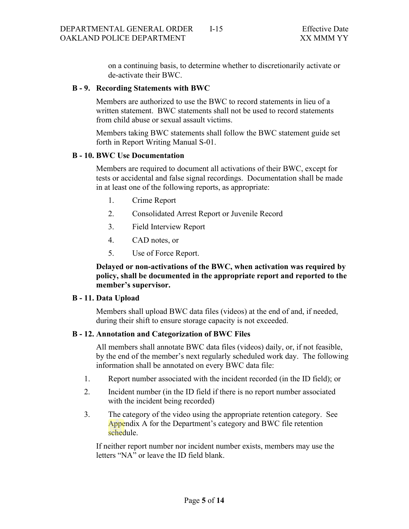on a continuing basis, to determine whether to discretionarily activate or de-activate their BWC.

#### **B - 9. Recording Statements with BWC**

Members are authorized to use the BWC to record statements in lieu of a written statement. BWC statements shall not be used to record statements from child abuse or sexual assault victims.

Members taking BWC statements shall follow the BWC statement guide set forth in Report Writing Manual S-01.

#### **B - 10. BWC Use Documentation**

Members are required to document all activations of their BWC, except for tests or accidental and false signal recordings. Documentation shall be made in at least one of the following reports, as appropriate:

- 1. Crime Report
- 2. Consolidated Arrest Report or Juvenile Record
- 3. Field Interview Report
- 4. CAD notes, or
- 5. Use of Force Report.

**Delayed or non-activations of the BWC, when activation was required by policy, shall be documented in the appropriate report and reported to the member's supervisor.**

#### **B - 11. Data Upload**

Members shall upload BWC data files (videos) at the end of and, if needed, during their shift to ensure storage capacity is not exceeded.

## **B - 12. Annotation and Categorization of BWC Files**

All members shall annotate BWC data files (videos) daily, or, if not feasible, by the end of the member's next regularly scheduled work day. The following information shall be annotated on every BWC data file:

- 1. Report number associated with the incident recorded (in the ID field); or
- 2. Incident number (in the ID field if there is no report number associated with the incident being recorded)
- 3. The category of the video using the appropriate retention category. See Appendix A for the Department's category and BWC file retention schedule.

If neither report number nor incident number exists, members may use the letters "NA" or leave the ID field blank.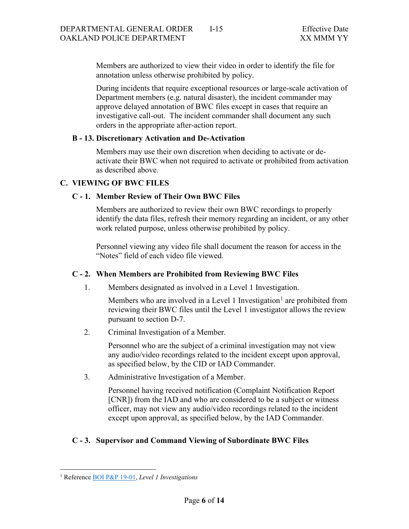Members are authorized to view their video in order to identify the file for annotation unless otherwise prohibited by policy.

During incidents that require exceptional resources or large-scale activation of Department members (e.g. natural disaster), the incident commander may approve delayed annotation of BWC files except in cases that require an investigative call-out. The incident commander shall document any such orders in the appropriate after-action report.

## **B - 13. Discretionary Activation and De-Activation**

Members may use their own discretion when deciding to activate or deactivate their BWC when not required to activate or prohibited from activation as described above.

## **C. VIEWING OF BWC FILES**

## **C - 1. Member Review of Their Own BWC Files**

Members are authorized to review their own BWC recordings to properly identify the data files, refresh their memory regarding an incident, or any other work related purpose, unless otherwise prohibited by policy.

Personnel viewing any video file shall document the reason for access in the "Notes" field of each video file viewed.

# **C - 2. When Members are Prohibited from Reviewing BWC Files**

1. Members designated as involved in a Level 1 Investigation.

Members who are involved in a Level [1](#page-5-0) Investigation<sup>1</sup> are prohibited from reviewing their BWC files until the Level 1 investigator allows the review pursuant to section D-7.

2. Criminal Investigation of a Member.

Personnel who are the subject of a criminal investigation may not view any audio/video recordings related to the incident except upon approval, as specified below, by the CID or IAD Commander.

3. Administrative Investigation of a Member.

Personnel having received notification (Complaint Notification Report [CNR]) from the IAD and who are considered to be a subject or witness officer, may not view any audio/video recordings related to the incident except upon approval, as specified below, by the IAD Commander.

# **C - 3. Supervisor and Command Viewing of Subordinate BWC Files**

<span id="page-5-0"></span><sup>1</sup> Reference [BOI P&P 19-01,](https://public.powerdms.com/OAKLAND/tree/documents/2569719) *Level 1 Investigations*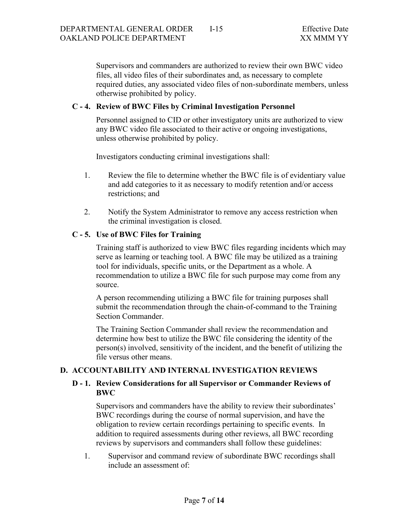Supervisors and commanders are authorized to review their own BWC video files, all video files of their subordinates and, as necessary to complete required duties, any associated video files of non-subordinate members, unless otherwise prohibited by policy.

## **C - 4. Review of BWC Files by Criminal Investigation Personnel**

Personnel assigned to CID or other investigatory units are authorized to view any BWC video file associated to their active or ongoing investigations, unless otherwise prohibited by policy.

Investigators conducting criminal investigations shall:

- 1. Review the file to determine whether the BWC file is of evidentiary value and add categories to it as necessary to modify retention and/or access restrictions; and
- 2. Notify the System Administrator to remove any access restriction when the criminal investigation is closed.

## **C - 5. Use of BWC Files for Training**

Training staff is authorized to view BWC files regarding incidents which may serve as learning or teaching tool. A BWC file may be utilized as a training tool for individuals, specific units, or the Department as a whole. A recommendation to utilize a BWC file for such purpose may come from any source.

A person recommending utilizing a BWC file for training purposes shall submit the recommendation through the chain-of-command to the Training Section Commander.

The Training Section Commander shall review the recommendation and determine how best to utilize the BWC file considering the identity of the person(s) involved, sensitivity of the incident, and the benefit of utilizing the file versus other means.

## **D. ACCOUNTABILITY AND INTERNAL INVESTIGATION REVIEWS**

## **D - 1. Review Considerations for all Supervisor or Commander Reviews of BWC**

Supervisors and commanders have the ability to review their subordinates' BWC recordings during the course of normal supervision, and have the obligation to review certain recordings pertaining to specific events. In addition to required assessments during other reviews, all BWC recording reviews by supervisors and commanders shall follow these guidelines:

1. Supervisor and command review of subordinate BWC recordings shall include an assessment of: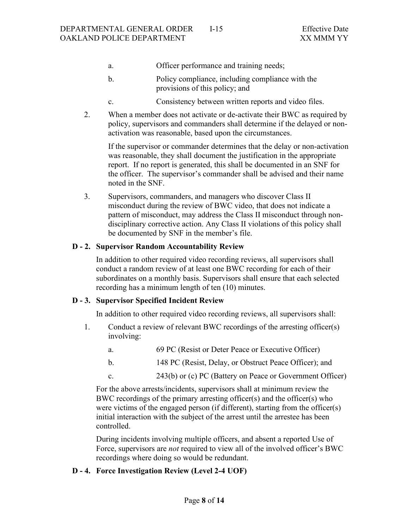- a. Officer performance and training needs;
- b. Policy compliance, including compliance with the provisions of this policy; and
- c. Consistency between written reports and video files.
- 2. When a member does not activate or de-activate their BWC as required by policy, supervisors and commanders shall determine if the delayed or nonactivation was reasonable, based upon the circumstances.

If the supervisor or commander determines that the delay or non-activation was reasonable, they shall document the justification in the appropriate report. If no report is generated, this shall be documented in an SNF for the officer. The supervisor's commander shall be advised and their name noted in the SNF.

3. Supervisors, commanders, and managers who discover Class II misconduct during the review of BWC video, that does not indicate a pattern of misconduct, may address the Class II misconduct through nondisciplinary corrective action. Any Class II violations of this policy shall be documented by SNF in the member's file.

## **D - 2. Supervisor Random Accountability Review**

In addition to other required video recording reviews, all supervisors shall conduct a random review of at least one BWC recording for each of their subordinates on a monthly basis. Supervisors shall ensure that each selected recording has a minimum length of ten (10) minutes.

#### **D - 3. Supervisor Specified Incident Review**

In addition to other required video recording reviews, all supervisors shall:

- 1. Conduct a review of relevant BWC recordings of the arresting officer(s) involving:
	- a. 69 PC (Resist or Deter Peace or Executive Officer)
	- b. 148 PC (Resist, Delay, or Obstruct Peace Officer); and
	- c. 243(b) or (c) PC (Battery on Peace or Government Officer)

For the above arrests/incidents, supervisors shall at minimum review the BWC recordings of the primary arresting officer(s) and the officer(s) who were victims of the engaged person (if different), starting from the officer(s) initial interaction with the subject of the arrest until the arrestee has been controlled.

During incidents involving multiple officers, and absent a reported Use of Force, supervisors are *not* required to view all of the involved officer's BWC recordings where doing so would be redundant.

#### **D - 4. Force Investigation Review (Level 2-4 UOF)**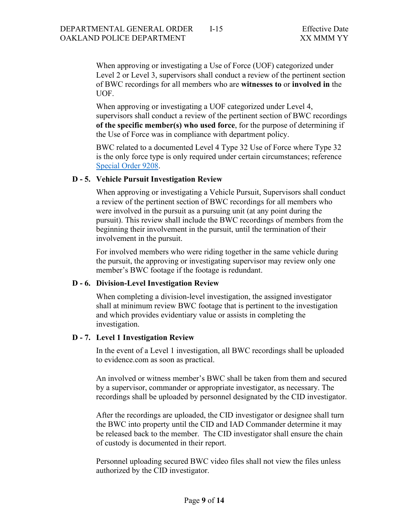When approving or investigating a Use of Force (UOF) categorized under Level 2 or Level 3, supervisors shall conduct a review of the pertinent section of BWC recordings for all members who are **witnesses to** or **involved in** the UOF.

When approving or investigating a UOF categorized under Level 4, supervisors shall conduct a review of the pertinent section of BWC recordings **of the specific member(s) who used force**, for the purpose of determining if the Use of Force was in compliance with department policy.

BWC related to a documented Level 4 Type 32 Use of Force where Type 32 is the only force type is only required under certain circumstances; reference [Special Order 9208.](https://public.powerdms.com/OAKLAND/tree/documents/2706547)

#### **D - 5. Vehicle Pursuit Investigation Review**

When approving or investigating a Vehicle Pursuit, Supervisors shall conduct a review of the pertinent section of BWC recordings for all members who were involved in the pursuit as a pursuing unit (at any point during the pursuit). This review shall include the BWC recordings of members from the beginning their involvement in the pursuit, until the termination of their involvement in the pursuit.

For involved members who were riding together in the same vehicle during the pursuit, the approving or investigating supervisor may review only one member's BWC footage if the footage is redundant.

#### **D - 6. Division-Level Investigation Review**

When completing a division-level investigation, the assigned investigator shall at minimum review BWC footage that is pertinent to the investigation and which provides evidentiary value or assists in completing the investigation.

#### **D - 7. Level 1 Investigation Review**

In the event of a Level 1 investigation, all BWC recordings shall be uploaded to evidence.com as soon as practical.

An involved or witness member's BWC shall be taken from them and secured by a supervisor, commander or appropriate investigator, as necessary. The recordings shall be uploaded by personnel designated by the CID investigator.

After the recordings are uploaded, the CID investigator or designee shall turn the BWC into property until the CID and IAD Commander determine it may be released back to the member. The CID investigator shall ensure the chain of custody is documented in their report.

Personnel uploading secured BWC video files shall not view the files unless authorized by the CID investigator.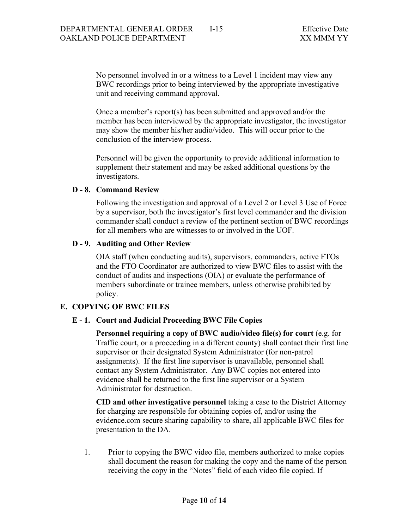No personnel involved in or a witness to a Level 1 incident may view any BWC recordings prior to being interviewed by the appropriate investigative unit and receiving command approval.

Once a member's report(s) has been submitted and approved and/or the member has been interviewed by the appropriate investigator, the investigator may show the member his/her audio/video. This will occur prior to the conclusion of the interview process.

Personnel will be given the opportunity to provide additional information to supplement their statement and may be asked additional questions by the investigators.

## **D - 8. Command Review**

Following the investigation and approval of a Level 2 or Level 3 Use of Force by a supervisor, both the investigator's first level commander and the division commander shall conduct a review of the pertinent section of BWC recordings for all members who are witnesses to or involved in the UOF.

## **D - 9. Auditing and Other Review**

OIA staff (when conducting audits), supervisors, commanders, active FTOs and the FTO Coordinator are authorized to view BWC files to assist with the conduct of audits and inspections (OIA) or evaluate the performance of members subordinate or trainee members, unless otherwise prohibited by policy.

## **E. COPYING OF BWC FILES**

## **E - 1. Court and Judicial Proceeding BWC File Copies**

**Personnel requiring a copy of BWC audio/video file(s) for court** (e.g. for Traffic court, or a proceeding in a different county) shall contact their first line supervisor or their designated System Administrator (for non-patrol assignments). If the first line supervisor is unavailable, personnel shall contact any System Administrator. Any BWC copies not entered into evidence shall be returned to the first line supervisor or a System Administrator for destruction.

**CID and other investigative personnel** taking a case to the District Attorney for charging are responsible for obtaining copies of, and/or using the evidence.com secure sharing capability to share, all applicable BWC files for presentation to the DA.

1. Prior to copying the BWC video file, members authorized to make copies shall document the reason for making the copy and the name of the person receiving the copy in the "Notes" field of each video file copied. If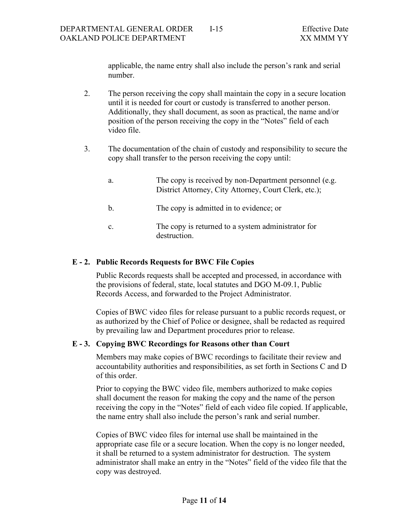applicable, the name entry shall also include the person's rank and serial number.

- 2. The person receiving the copy shall maintain the copy in a secure location until it is needed for court or custody is transferred to another person. Additionally, they shall document, as soon as practical, the name and/or position of the person receiving the copy in the "Notes" field of each video file.
- 3. The documentation of the chain of custody and responsibility to secure the copy shall transfer to the person receiving the copy until:
	- a. The copy is received by non-Department personnel (e.g. District Attorney, City Attorney, Court Clerk, etc.);
	- b. The copy is admitted in to evidence; or
	- c. The copy is returned to a system administrator for destruction.

#### **E - 2. Public Records Requests for BWC File Copies**

Public Records requests shall be accepted and processed, in accordance with the provisions of federal, state, local statutes and DGO M-09.1, Public Records Access, and forwarded to the Project Administrator.

Copies of BWC video files for release pursuant to a public records request, or as authorized by the Chief of Police or designee, shall be redacted as required by prevailing law and Department procedures prior to release.

## **E - 3. Copying BWC Recordings for Reasons other than Court**

Members may make copies of BWC recordings to facilitate their review and accountability authorities and responsibilities, as set forth in Sections C and D of this order.

Prior to copying the BWC video file, members authorized to make copies shall document the reason for making the copy and the name of the person receiving the copy in the "Notes" field of each video file copied. If applicable, the name entry shall also include the person's rank and serial number.

Copies of BWC video files for internal use shall be maintained in the appropriate case file or a secure location. When the copy is no longer needed, it shall be returned to a system administrator for destruction. The system administrator shall make an entry in the "Notes" field of the video file that the copy was destroyed.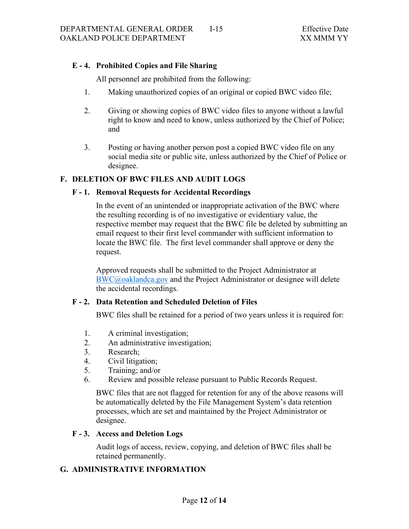# **E - 4. Prohibited Copies and File Sharing**

All personnel are prohibited from the following:

- 1. Making unauthorized copies of an original or copied BWC video file;
- 2. Giving or showing copies of BWC video files to anyone without a lawful right to know and need to know, unless authorized by the Chief of Police; and
- 3. Posting or having another person post a copied BWC video file on any social media site or public site, unless authorized by the Chief of Police or designee.

## **F. DELETION OF BWC FILES AND AUDIT LOGS**

## **F - 1. Removal Requests for Accidental Recordings**

In the event of an unintended or inappropriate activation of the BWC where the resulting recording is of no investigative or evidentiary value, the respective member may request that the BWC file be deleted by submitting an email request to their first level commander with sufficient information to locate the BWC file. The first level commander shall approve or deny the request.

Approved requests shall be submitted to the Project Administrator at [BWC@oaklandca.gov](mailto:BWC@oaklandca.gov) and the Project Administrator or designee will delete the accidental recordings.

## **F - 2. Data Retention and Scheduled Deletion of Files**

BWC files shall be retained for a period of two years unless it is required for:

- 1. A criminal investigation;
- 2. An administrative investigation;
- 3. Research;
- 4. Civil litigation;
- 5. Training; and/or
- 6. Review and possible release pursuant to Public Records Request.

BWC files that are not flagged for retention for any of the above reasons will be automatically deleted by the File Management System's data retention processes, which are set and maintained by the Project Administrator or designee.

## **F - 3. Access and Deletion Logs**

Audit logs of access, review, copying, and deletion of BWC files shall be retained permanently.

# **G. ADMINISTRATIVE INFORMATION**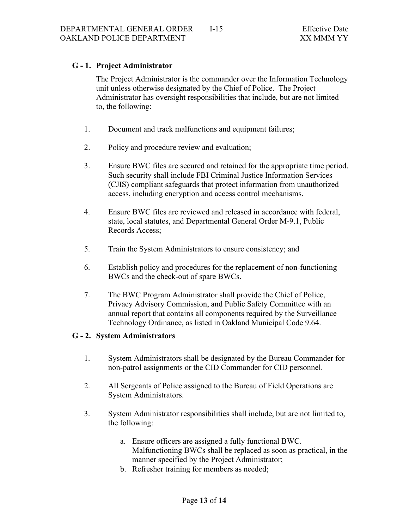# **G - 1. Project Administrator**

The Project Administrator is the commander over the Information Technology unit unless otherwise designated by the Chief of Police. The Project Administrator has oversight responsibilities that include, but are not limited to, the following:

- 1. Document and track malfunctions and equipment failures;
- 2. Policy and procedure review and evaluation;
- 3. Ensure BWC files are secured and retained for the appropriate time period. Such security shall include FBI Criminal Justice Information Services (CJIS) compliant safeguards that protect information from unauthorized access, including encryption and access control mechanisms.
- 4. Ensure BWC files are reviewed and released in accordance with federal, state, local statutes, and Departmental General Order M-9.1, Public Records Access;
- 5. Train the System Administrators to ensure consistency; and
- 6. Establish policy and procedures for the replacement of non-functioning BWCs and the check-out of spare BWCs.
- 7. The BWC Program Administrator shall provide the Chief of Police, Privacy Advisory Commission, and Public Safety Committee with an annual report that contains all components required by the Surveillance Technology Ordinance, as listed in Oakland Municipal Code 9.64.

# **G - 2. System Administrators**

- 1. System Administrators shall be designated by the Bureau Commander for non-patrol assignments or the CID Commander for CID personnel.
- 2. All Sergeants of Police assigned to the Bureau of Field Operations are System Administrators.
- 3. System Administrator responsibilities shall include, but are not limited to, the following:
	- a. Ensure officers are assigned a fully functional BWC. Malfunctioning BWCs shall be replaced as soon as practical, in the manner specified by the Project Administrator;
	- b. Refresher training for members as needed;